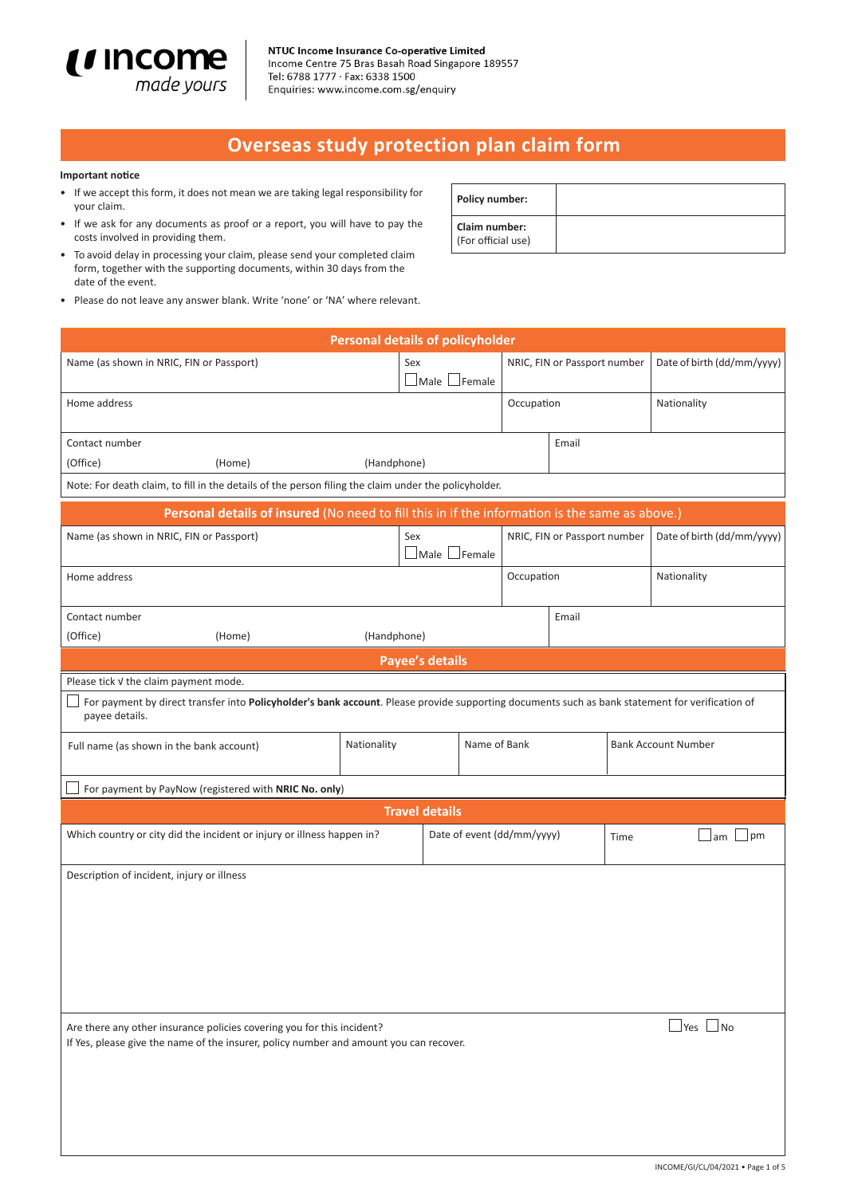

# **Overseas study protection plan claim form**

#### **Important notice**

- If we accept this form, it does not mean we are taking legal responsibility for your claim.
- If we ask for any documents as proof or a report, you will have to pay the costs involved in providing them.
- To avoid delay in processing your claim, please send your completed claim form, together with the supporting documents, within 30 days from the date of the event.
- Please do not leave any answer blank. Write 'none' or 'NA' where relevant.

| <b>Policy number:</b>                      |  |
|--------------------------------------------|--|
| <b>Claim number:</b><br>(For official use) |  |

|                                                                                                                                                                   |             | <b>Personal details of policyholder</b> |              |                            |                              |                            |                            |
|-------------------------------------------------------------------------------------------------------------------------------------------------------------------|-------------|-----------------------------------------|--------------|----------------------------|------------------------------|----------------------------|----------------------------|
| Name (as shown in NRIC, FIN or Passport)                                                                                                                          |             | Sex<br>$\Box$ Male $\Box$ Female        |              |                            | NRIC, FIN or Passport number |                            | Date of birth (dd/mm/yyyy) |
| Home address                                                                                                                                                      |             |                                         |              | Occupation                 |                              |                            | Nationality                |
| Contact number                                                                                                                                                    |             |                                         |              |                            | Email                        |                            |                            |
| (Office)<br>(Home)                                                                                                                                                | (Handphone) |                                         |              |                            |                              |                            |                            |
| Note: For death claim, to fill in the details of the person filing the claim under the policyholder.                                                              |             |                                         |              |                            |                              |                            |                            |
| Personal details of insured (No need to fill this in if the information is the same as above.)                                                                    |             |                                         |              |                            |                              |                            |                            |
| Name (as shown in NRIC, FIN or Passport)                                                                                                                          |             | Sex<br>$\Box$ Male $\Box$ Female        |              |                            | NRIC, FIN or Passport number |                            | Date of birth (dd/mm/yyyy) |
| Home address                                                                                                                                                      |             |                                         |              | Occupation                 |                              |                            | Nationality                |
| Contact number                                                                                                                                                    |             |                                         |              |                            | Email                        |                            |                            |
| (Office)<br>(Home)                                                                                                                                                | (Handphone) |                                         |              |                            |                              |                            |                            |
|                                                                                                                                                                   |             | <b>Payee's details</b>                  |              |                            |                              |                            |                            |
| Please tick v the claim payment mode.                                                                                                                             |             |                                         |              |                            |                              |                            |                            |
| For payment by direct transfer into Policyholder's bank account. Please provide supporting documents such as bank statement for verification of<br>payee details. |             |                                         |              |                            |                              |                            |                            |
| Full name (as shown in the bank account)                                                                                                                          | Nationality |                                         | Name of Bank |                            |                              | <b>Bank Account Number</b> |                            |
| For payment by PayNow (registered with NRIC No. only)                                                                                                             |             |                                         |              |                            |                              |                            |                            |
|                                                                                                                                                                   |             | <b>Travel details</b>                   |              |                            |                              |                            |                            |
| Which country or city did the incident or injury or illness happen in?                                                                                            |             |                                         |              | Date of event (dd/mm/yyyy) |                              | Time                       | pm<br>⊥am                  |
| Description of incident, injury or illness                                                                                                                        |             |                                         |              |                            |                              |                            |                            |
|                                                                                                                                                                   |             |                                         |              |                            |                              |                            |                            |
|                                                                                                                                                                   |             |                                         |              |                            |                              |                            |                            |
|                                                                                                                                                                   |             |                                         |              |                            |                              |                            |                            |
|                                                                                                                                                                   |             |                                         |              |                            |                              |                            |                            |
|                                                                                                                                                                   |             |                                         |              |                            |                              |                            |                            |
| Are there any other insurance policies covering you for this incident?<br>If Yes, please give the name of the insurer, policy number and amount you can recover.  |             |                                         |              |                            |                              |                            | $\Box$ Yes $\Box$ No       |
|                                                                                                                                                                   |             |                                         |              |                            |                              |                            |                            |
|                                                                                                                                                                   |             |                                         |              |                            |                              |                            |                            |
|                                                                                                                                                                   |             |                                         |              |                            |                              |                            |                            |
|                                                                                                                                                                   |             |                                         |              |                            |                              |                            |                            |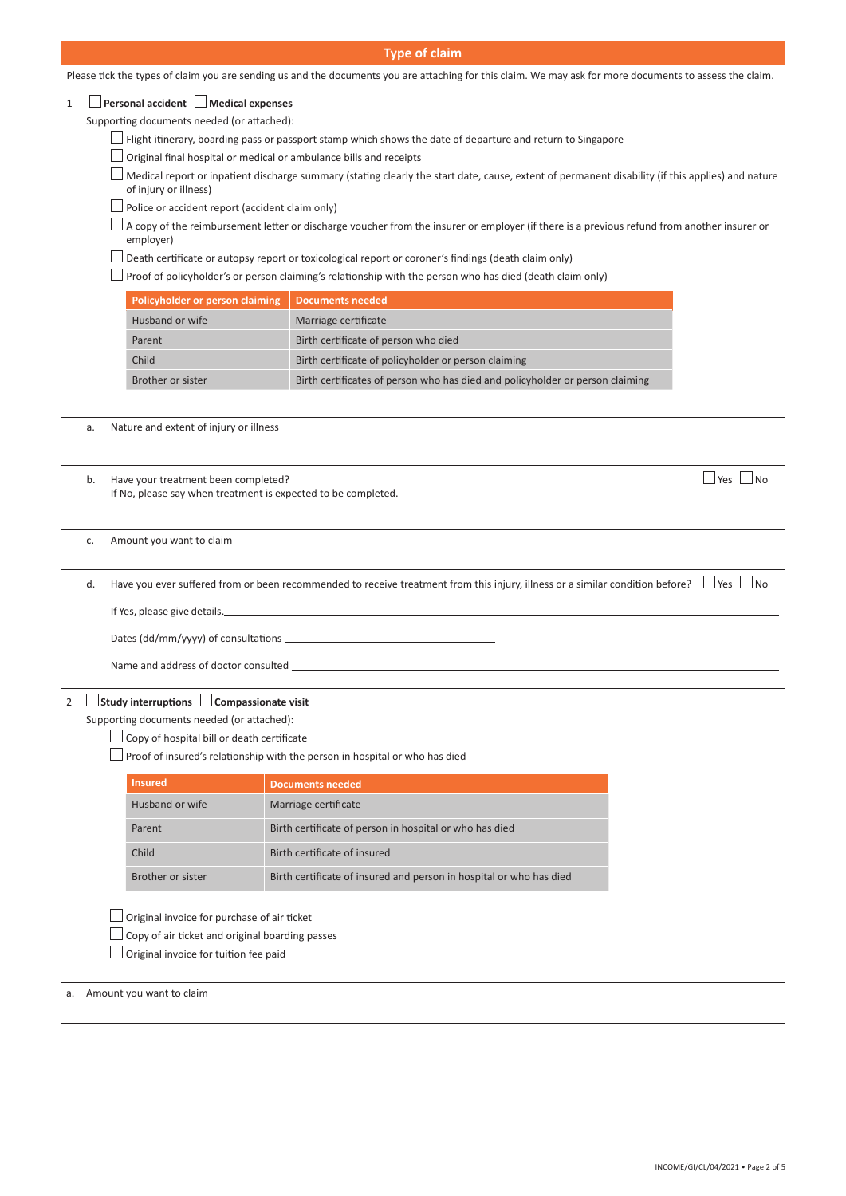|              |                                                                                                      | <b>Type of claim</b>                                                                                                                                                                                                    |
|--------------|------------------------------------------------------------------------------------------------------|-------------------------------------------------------------------------------------------------------------------------------------------------------------------------------------------------------------------------|
|              |                                                                                                      | Please tick the types of claim you are sending us and the documents you are attaching for this claim. We may ask for more documents to assess the claim.                                                                |
| $\mathbf{1}$ | $\Box$ Personal accident $\Box$ Medical expenses                                                     |                                                                                                                                                                                                                         |
|              | Supporting documents needed (or attached):                                                           |                                                                                                                                                                                                                         |
|              |                                                                                                      | Flight itinerary, boarding pass or passport stamp which shows the date of departure and return to Singapore                                                                                                             |
|              |                                                                                                      | Original final hospital or medical or ambulance bills and receipts<br>Medical report or inpatient discharge summary (stating clearly the start date, cause, extent of permanent disability (if this applies) and nature |
|              | of injury or illness)                                                                                |                                                                                                                                                                                                                         |
|              | Police or accident report (accident claim only)                                                      |                                                                                                                                                                                                                         |
|              | employer)                                                                                            | A copy of the reimbursement letter or discharge voucher from the insurer or employer (if there is a previous refund from another insurer or                                                                             |
|              |                                                                                                      | Death certificate or autopsy report or toxicological report or coroner's findings (death claim only)                                                                                                                    |
|              |                                                                                                      | Proof of policyholder's or person claiming's relationship with the person who has died (death claim only)                                                                                                               |
|              | Policyholder or person claiming                                                                      | <b>Documents needed</b>                                                                                                                                                                                                 |
|              | Husband or wife                                                                                      | Marriage certificate                                                                                                                                                                                                    |
|              | Parent<br>Child                                                                                      | Birth certificate of person who died<br>Birth certificate of policyholder or person claiming                                                                                                                            |
|              | Brother or sister                                                                                    | Birth certificates of person who has died and policyholder or person claiming                                                                                                                                           |
|              |                                                                                                      |                                                                                                                                                                                                                         |
| a.           | Nature and extent of injury or illness                                                               |                                                                                                                                                                                                                         |
|              |                                                                                                      |                                                                                                                                                                                                                         |
|              |                                                                                                      |                                                                                                                                                                                                                         |
| b.           | Have your treatment been completed?<br>If No, please say when treatment is expected to be completed. | $\exists$ Yes<br>No                                                                                                                                                                                                     |
|              |                                                                                                      |                                                                                                                                                                                                                         |
| c.           | Amount you want to claim                                                                             |                                                                                                                                                                                                                         |
|              |                                                                                                      |                                                                                                                                                                                                                         |
| d.           |                                                                                                      | Have you ever suffered from or been recommended to receive treatment from this injury, illness or a similar condition before? $\Box$ Yes $\Box$ No                                                                      |
|              |                                                                                                      |                                                                                                                                                                                                                         |
|              |                                                                                                      |                                                                                                                                                                                                                         |
|              | Name and address of doctor consulted _                                                               |                                                                                                                                                                                                                         |
|              |                                                                                                      |                                                                                                                                                                                                                         |
| 2            | Study interruptions   Compassionate visit                                                            |                                                                                                                                                                                                                         |
|              | Supporting documents needed (or attached):<br>Copy of hospital bill or death certificate             |                                                                                                                                                                                                                         |
|              |                                                                                                      | Proof of insured's relationship with the person in hospital or who has died                                                                                                                                             |
|              | <b>Insured</b>                                                                                       | <b>Documents needed</b>                                                                                                                                                                                                 |
|              | Husband or wife                                                                                      | Marriage certificate                                                                                                                                                                                                    |
|              | Parent                                                                                               | Birth certificate of person in hospital or who has died                                                                                                                                                                 |
|              | Child                                                                                                | Birth certificate of insured                                                                                                                                                                                            |
|              | Brother or sister                                                                                    | Birth certificate of insured and person in hospital or who has died                                                                                                                                                     |
|              |                                                                                                      |                                                                                                                                                                                                                         |
|              | Original invoice for purchase of air ticket                                                          |                                                                                                                                                                                                                         |
|              | Copy of air ticket and original boarding passes                                                      |                                                                                                                                                                                                                         |
|              | Original invoice for tuition fee paid                                                                |                                                                                                                                                                                                                         |
| a.           | Amount you want to claim                                                                             |                                                                                                                                                                                                                         |
|              |                                                                                                      |                                                                                                                                                                                                                         |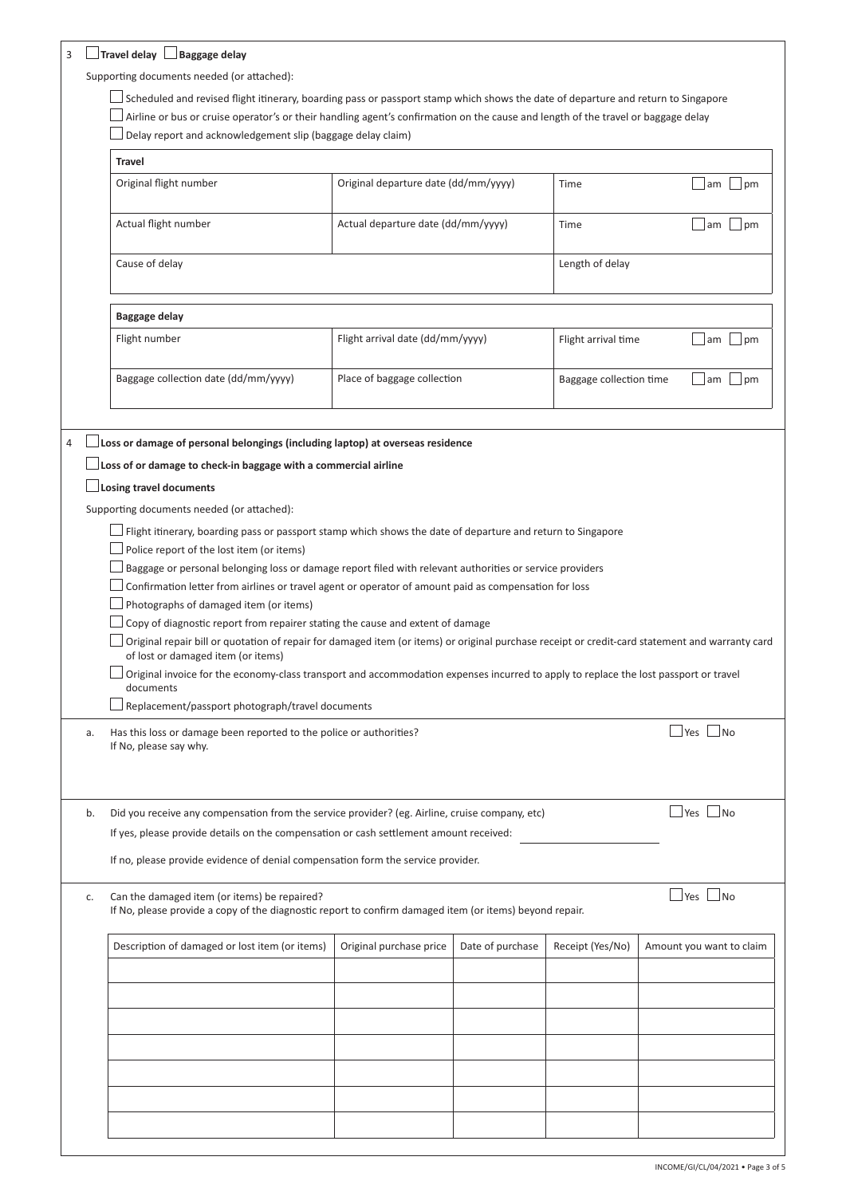|    | Supporting documents needed (or attached):<br>Scheduled and revised flight itinerary, boarding pass or passport stamp which shows the date of departure and return to Singapore                                                                                                                                                                                                                                                                                                                                                                                                                                                                                                                                                      |                                      |                  |                         |                          |                      |              |
|----|--------------------------------------------------------------------------------------------------------------------------------------------------------------------------------------------------------------------------------------------------------------------------------------------------------------------------------------------------------------------------------------------------------------------------------------------------------------------------------------------------------------------------------------------------------------------------------------------------------------------------------------------------------------------------------------------------------------------------------------|--------------------------------------|------------------|-------------------------|--------------------------|----------------------|--------------|
|    | Airline or bus or cruise operator's or their handling agent's confirmation on the cause and length of the travel or baggage delay                                                                                                                                                                                                                                                                                                                                                                                                                                                                                                                                                                                                    |                                      |                  |                         |                          |                      |              |
|    | Delay report and acknowledgement slip (baggage delay claim)                                                                                                                                                                                                                                                                                                                                                                                                                                                                                                                                                                                                                                                                          |                                      |                  |                         |                          |                      |              |
|    | <b>Travel</b>                                                                                                                                                                                                                                                                                                                                                                                                                                                                                                                                                                                                                                                                                                                        |                                      |                  |                         |                          |                      |              |
|    | Original flight number                                                                                                                                                                                                                                                                                                                                                                                                                                                                                                                                                                                                                                                                                                               | Original departure date (dd/mm/yyyy) |                  | Time                    |                          |                      | $am$   $pm$  |
|    | Actual flight number                                                                                                                                                                                                                                                                                                                                                                                                                                                                                                                                                                                                                                                                                                                 | Actual departure date (dd/mm/yyyy)   |                  | Time                    |                          |                      | am $\Box$ pm |
|    | Cause of delay                                                                                                                                                                                                                                                                                                                                                                                                                                                                                                                                                                                                                                                                                                                       |                                      |                  | Length of delay         |                          |                      |              |
|    | Baggage delay                                                                                                                                                                                                                                                                                                                                                                                                                                                                                                                                                                                                                                                                                                                        |                                      |                  |                         |                          |                      |              |
|    | Flight number                                                                                                                                                                                                                                                                                                                                                                                                                                                                                                                                                                                                                                                                                                                        | Flight arrival date (dd/mm/yyyy)     |                  | Flight arrival time     |                          | am                   | $\Box$ pm    |
|    | Baggage collection date (dd/mm/yyyy)                                                                                                                                                                                                                                                                                                                                                                                                                                                                                                                                                                                                                                                                                                 | Place of baggage collection          |                  | Baggage collection time |                          | $\Box$ am $\Box$ pm  |              |
|    | Losing travel documents<br>Supporting documents needed (or attached):<br>Flight itinerary, boarding pass or passport stamp which shows the date of departure and return to Singapore<br>Police report of the lost item (or items)<br>Baggage or personal belonging loss or damage report filed with relevant authorities or service providers                                                                                                                                                                                                                                                                                                                                                                                        |                                      |                  |                         |                          |                      |              |
| a. | Confirmation letter from airlines or travel agent or operator of amount paid as compensation for loss<br>Photographs of damaged item (or items)<br>Copy of diagnostic report from repairer stating the cause and extent of damage<br>Original repair bill or quotation of repair for damaged item (or items) or original purchase receipt or credit-card statement and warranty card<br>of lost or damaged item (or items)<br>Original invoice for the economy-class transport and accommodation expenses incurred to apply to replace the lost passport or travel<br>documents<br>Replacement/passport photograph/travel documents<br>Has this loss or damage been reported to the police or authorities?<br>If No, please say why. |                                      |                  |                         |                          | $\Box$ Yes $\Box$ No |              |
| b. | Did you receive any compensation from the service provider? (eg. Airline, cruise company, etc)<br>If yes, please provide details on the compensation or cash settlement amount received:<br>If no, please provide evidence of denial compensation form the service provider.                                                                                                                                                                                                                                                                                                                                                                                                                                                         |                                      |                  |                         |                          | $Yes$ No             |              |
| c. | Can the damaged item (or items) be repaired?<br>If No, please provide a copy of the diagnostic report to confirm damaged item (or items) beyond repair.                                                                                                                                                                                                                                                                                                                                                                                                                                                                                                                                                                              |                                      |                  |                         |                          | $\Box$ Yes $\Box$ No |              |
|    | Description of damaged or lost item (or items)                                                                                                                                                                                                                                                                                                                                                                                                                                                                                                                                                                                                                                                                                       | Original purchase price              | Date of purchase | Receipt (Yes/No)        | Amount you want to claim |                      |              |
|    |                                                                                                                                                                                                                                                                                                                                                                                                                                                                                                                                                                                                                                                                                                                                      |                                      |                  |                         |                          |                      |              |
|    |                                                                                                                                                                                                                                                                                                                                                                                                                                                                                                                                                                                                                                                                                                                                      |                                      |                  |                         |                          |                      |              |
|    |                                                                                                                                                                                                                                                                                                                                                                                                                                                                                                                                                                                                                                                                                                                                      |                                      |                  |                         |                          |                      |              |
|    |                                                                                                                                                                                                                                                                                                                                                                                                                                                                                                                                                                                                                                                                                                                                      |                                      |                  |                         |                          |                      |              |
|    |                                                                                                                                                                                                                                                                                                                                                                                                                                                                                                                                                                                                                                                                                                                                      |                                      |                  |                         |                          |                      |              |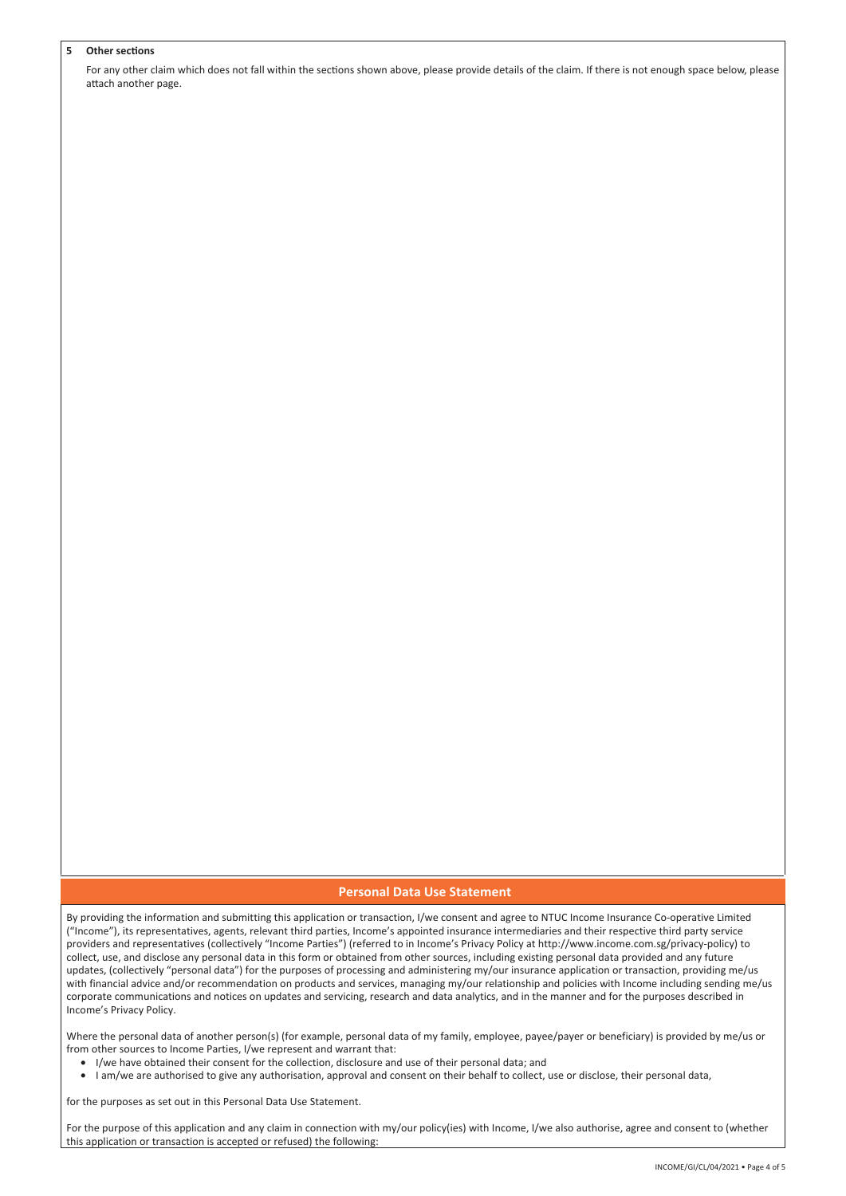#### 5 Other sections

For any other claim which does not fall within the sections shown above, please provide details of the claim. If there is not enough space below, please attach another page.

## **Personal Data Use Statement**

By providing the information and submitting this application or transaction, I/we consent and agree to NTUC Income Insurance Co-operative Limited ("Income"), its representatives, agents, relevant third parties, Income's appointed insurance intermediaries and their respective third party service providers and representatives (collectively "Income Parties") (referred to in Income's Privacy Policy at http://www.income.com.sg/privacy-policy) to collect, use, and disclose any personal data in this form or obtained from other sources, including existing personal data provided and any future updates, (collectively "personal data") for the purposes of processing and administering my/our insurance application or transaction, providing me/us with financial advice and/or recommendation on products and services, managing my/our relationship and policies with Income including sending me/us corporate communications and notices on updates and servicing, research and data analytics, and in the manner and for the purposes described in Income's Privacy Policy.

Where the personal data of another person(s) (for example, personal data of my family, employee, payee/payer or beneficiary) is provided by me/us or from other sources to Income Parties, I/we represent and warrant that:

- I/we have obtained their consent for the collection, disclosure and use of their personal data; and
- I am/we are authorised to give any authorisation, approval and consent on their behalf to collect, use or disclose, their personal data,

for the purposes as set out in this Personal Data Use Statement.

For the purpose of this application and any claim in connection with my/our policy(ies) with Income, I/we also authorise, agree and consent to (whether this application or transaction is accepted or refused) the following: